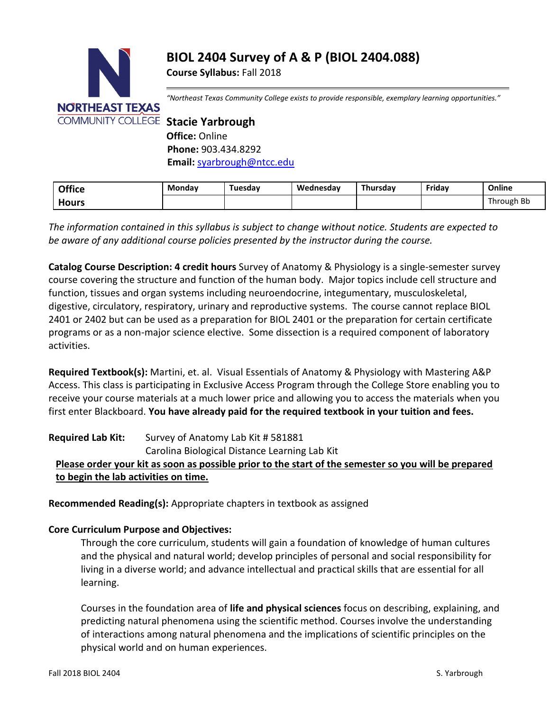# **BIOL 2404 Survey of A & P (BIOL 2404.088)**

**Course Syllabus:** Fall 2018



*"Northeast Texas Community College exists to provide responsible, exemplary learning opportunities."*

**Office:** Online **Phone:** 903.434.8292 **Email:** [syarbrough@ntcc.edu](mailto:syarbrough@ntcc.edu)

| <b>Office</b> | <b>Monday</b> | Tuesday | Wednesdav | Thursdav | Friday | Online     |
|---------------|---------------|---------|-----------|----------|--------|------------|
| Hours         |               |         |           |          |        | Through Bb |

*The information contained in this syllabus is subject to change without notice. Students are expected to be aware of any additional course policies presented by the instructor during the course.*

**Catalog Course Description: 4 credit hours** Survey of Anatomy & Physiology is a single-semester survey course covering the structure and function of the human body. Major topics include cell structure and function, tissues and organ systems including neuroendocrine, integumentary, musculoskeletal, digestive, circulatory, respiratory, urinary and reproductive systems. The course cannot replace BIOL 2401 or 2402 but can be used as a preparation for BIOL 2401 or the preparation for certain certificate programs or as a non-major science elective. Some dissection is a required component of laboratory activities.

**Required Textbook(s):** Martini, et. al. Visual Essentials of Anatomy & Physiology with Mastering A&P Access. This class is participating in Exclusive Access Program through the College Store enabling you to receive your course materials at a much lower price and allowing you to access the materials when you first enter Blackboard. **You have already paid for the required textbook in your tuition and fees.**

**Required Lab Kit:** Survey of Anatomy Lab Kit # 581881 Carolina Biological Distance Learning Lab Kit **Please order your kit as soon as possible prior to the start of the semester so you will be prepared to begin the lab activities on time.** 

**Recommended Reading(s):** Appropriate chapters in textbook as assigned

#### **Core Curriculum Purpose and Objectives:**

Through the core curriculum, students will gain a foundation of knowledge of human cultures and the physical and natural world; develop principles of personal and social responsibility for living in a diverse world; and advance intellectual and practical skills that are essential for all learning.

Courses in the foundation area of **life and physical sciences** focus on describing, explaining, and predicting natural phenomena using the scientific method. Courses involve the understanding of interactions among natural phenomena and the implications of scientific principles on the physical world and on human experiences.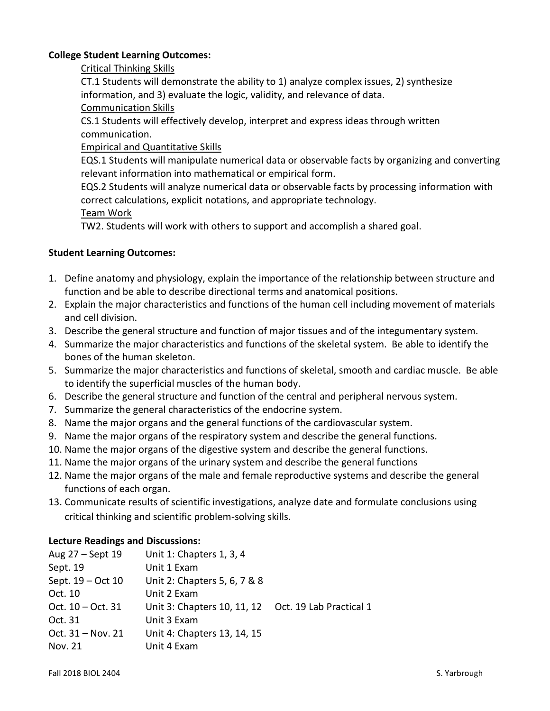# **College Student Learning Outcomes:**

# Critical Thinking Skills

CT.1 Students will demonstrate the ability to 1) analyze complex issues, 2) synthesize information, and 3) evaluate the logic, validity, and relevance of data.

# Communication Skills

CS.1 Students will effectively develop, interpret and express ideas through written communication.

# Empirical and Quantitative Skills

EQS.1 Students will manipulate numerical data or observable facts by organizing and converting relevant information into mathematical or empirical form.

EQS.2 Students will analyze numerical data or observable facts by processing information with correct calculations, explicit notations, and appropriate technology.

#### Team Work

TW2. Students will work with others to support and accomplish a shared goal.

# **Student Learning Outcomes:**

- 1. Define anatomy and physiology, explain the importance of the relationship between structure and function and be able to describe directional terms and anatomical positions.
- 2. Explain the major characteristics and functions of the human cell including movement of materials and cell division.
- 3. Describe the general structure and function of major tissues and of the integumentary system.
- 4. Summarize the major characteristics and functions of the skeletal system. Be able to identify the bones of the human skeleton.
- 5. Summarize the major characteristics and functions of skeletal, smooth and cardiac muscle. Be able to identify the superficial muscles of the human body.
- 6. Describe the general structure and function of the central and peripheral nervous system.
- 7. Summarize the general characteristics of the endocrine system.
- 8. Name the major organs and the general functions of the cardiovascular system.
- 9. Name the major organs of the respiratory system and describe the general functions.
- 10. Name the major organs of the digestive system and describe the general functions.
- 11. Name the major organs of the urinary system and describe the general functions
- 12. Name the major organs of the male and female reproductive systems and describe the general functions of each organ.
- 13. Communicate results of scientific investigations, analyze date and formulate conclusions using critical thinking and scientific problem-solving skills.

#### **Lecture Readings and Discussions:**

| Aug 27 – Sept 19    | Unit 1: Chapters 1, 3, 4                            |  |
|---------------------|-----------------------------------------------------|--|
| Sept. 19            | Unit 1 Exam                                         |  |
| Sept. 19 - Oct 10   | Unit 2: Chapters 5, 6, 7 & 8                        |  |
| Oct. 10             | Unit 2 Exam                                         |  |
| Oct. $10 - Oct. 31$ | Unit 3: Chapters 10, 11, 12 Oct. 19 Lab Practical 1 |  |
| Oct. 31             | Unit 3 Exam                                         |  |
| Oct. 31 - Nov. 21   | Unit 4: Chapters 13, 14, 15                         |  |
| Nov. 21             | Unit 4 Exam                                         |  |
|                     |                                                     |  |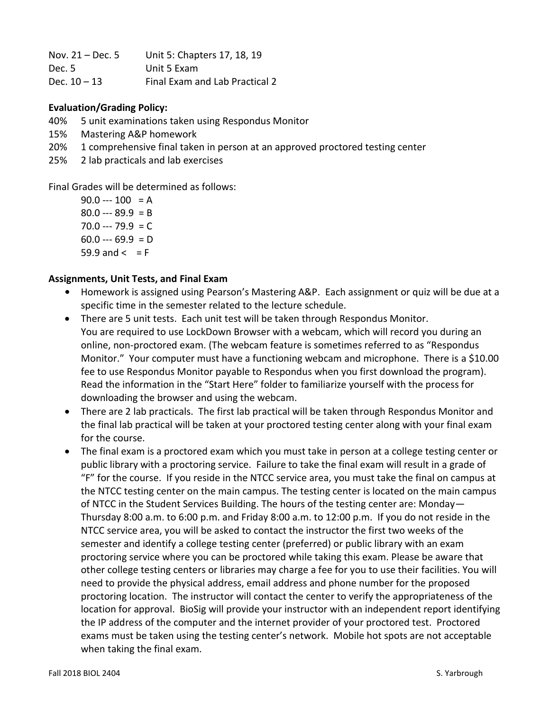| Nov. $21 - Dec.5$ | Unit 5: Chapters 17, 18, 19    |
|-------------------|--------------------------------|
| Dec. 5            | Unit 5 Exam                    |
| Dec. $10 - 13$    | Final Exam and Lab Practical 2 |

# **Evaluation/Grading Policy:**

- 40% 5 unit examinations taken using Respondus Monitor
- 15% Mastering A&P homework
- 20% 1 comprehensive final taken in person at an approved proctored testing center
- 25% 2 lab practicals and lab exercises

Final Grades will be determined as follows:

 $90.0 -- 100 = A$  $80.0 -- 89.9 = B$  $70.0 -- 79.9 = C$  $60.0 - 69.9 = D$ 59.9 and  $\leq$  = F

# **Assignments, Unit Tests, and Final Exam**

- **•** Homework is assigned using Pearson's Mastering A&P. Each assignment or quiz will be due at a specific time in the semester related to the lecture schedule.
- There are 5 unit tests. Each unit test will be taken through Respondus Monitor. You are required to use LockDown Browser with a webcam, which will record you during an online, non-proctored exam. (The webcam feature is sometimes referred to as "Respondus Monitor." Your computer must have a functioning webcam and microphone. There is a \$10.00 fee to use Respondus Monitor payable to Respondus when you first download the program). Read the information in the "Start Here" folder to familiarize yourself with the process for downloading the browser and using the webcam.
- There are 2 lab practicals. The first lab practical will be taken through Respondus Monitor and the final lab practical will be taken at your proctored testing center along with your final exam for the course.
- The final exam is a proctored exam which you must take in person at a college testing center or public library with a proctoring service. Failure to take the final exam will result in a grade of "F" for the course. If you reside in the NTCC service area, you must take the final on campus at the NTCC testing center on the main campus. The testing center is located on the main campus of NTCC in the Student Services Building. The hours of the testing center are: Monday— Thursday 8:00 a.m. to 6:00 p.m. and Friday 8:00 a.m. to 12:00 p.m. If you do not reside in the NTCC service area, you will be asked to contact the instructor the first two weeks of the semester and identify a college testing center (preferred) or public library with an exam proctoring service where you can be proctored while taking this exam. Please be aware that other college testing centers or libraries may charge a fee for you to use their facilities. You will need to provide the physical address, email address and phone number for the proposed proctoring location. The instructor will contact the center to verify the appropriateness of the location for approval. BioSig will provide your instructor with an independent report identifying the IP address of the computer and the internet provider of your proctored test. Proctored exams must be taken using the testing center's network. Mobile hot spots are not acceptable when taking the final exam.